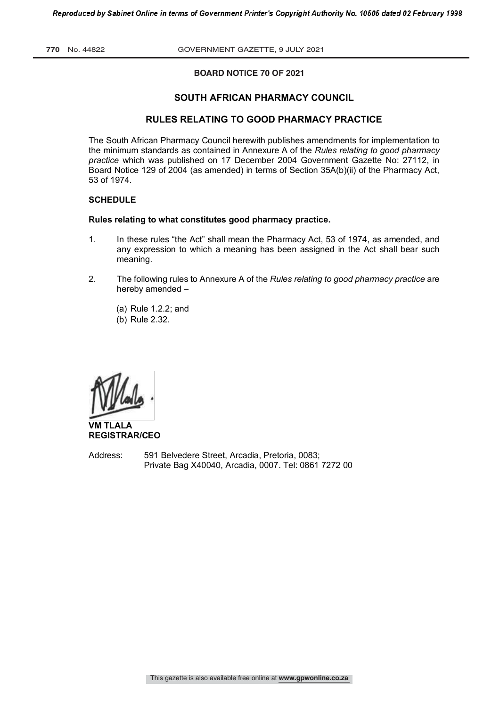**770** No. 44822 GOVERNMENT GAZETTE, 9 JULY 2021

# **BOARD NOTICE 70 OF 2021 BOARD NOTICE OF 2021**

# **SOUTH AFRICAN PHARMACY COUNCIL**

# **RULES RELATING TO GOOD PHARMACY PRACTICE**

The South African Pharmacy Council herewith publishes amendments for implementation to the minimum standards as contained in Annexure A of the *Rules relating to good pharmacy practice* which was published on 17 December 2004 Government Gazette No: 27112, in Board Notice 129 of 2004 (as amended) in terms of Section 35A(b)(ii) of the Pharmacy Act, 53 of 1974.

## **SCHEDULE**

#### **Rules relating to what constitutes good pharmacy practice.**

- 1. In these rules "the Act" shall mean the Pharmacy Act, 53 of 1974, as amended, and any expression to which a meaning has been assigned in the Act shall bear such meaning.
- 2. The following rules to Annexure A of the *Rules relating to good pharmacy practice* are hereby amended –
	- (a) Rule 1.2.2; and
	- (b) Rule 2.32.

**VM TLALA REGISTRAR/CEO**

Address: 591 Belvedere Street, Arcadia, Pretoria, 0083; Private Bag X40040, Arcadia, 0007. Tel: 0861 7272 00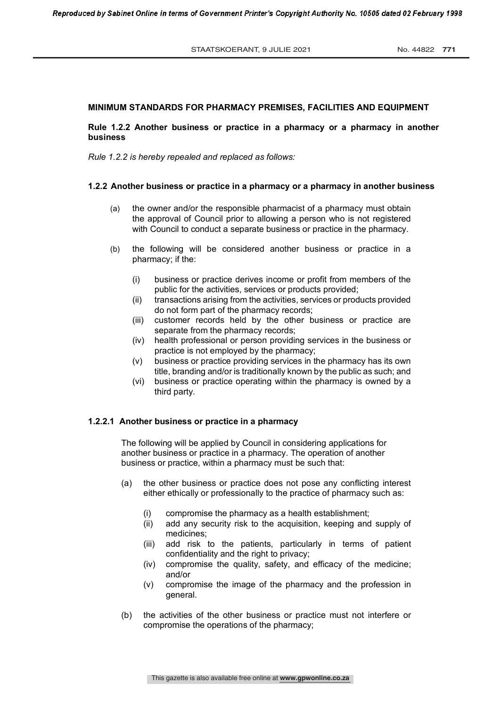#### **MINIMUM STANDARDS FOR PHARMACY PREMISES, FACILITIES AND EQUIPMENT**

#### **Rule 1.2.2 Another business or practice in a pharmacy or a pharmacy in another business**

*Rule 1.2.2 is hereby repealed and replaced as follows:*

#### **1.2.2 Another business or practice in a pharmacy or a pharmacy in another business**

- (a) the owner and/or the responsible pharmacist of a pharmacy must obtain the approval of Council prior to allowing a person who is not registered with Council to conduct a separate business or practice in the pharmacy.
- (b) the following will be considered another business or practice in a pharmacy; if the:
	- (i) business or practice derives income or profit from members of the public for the activities, services or products provided;
	- (ii) transactions arising from the activities, services or products provided do not form part of the pharmacy records;
	- (iii) customer records held by the other business or practice are separate from the pharmacy records;
	- (iv) health professional or person providing services in the business or practice is not employed by the pharmacy;
	- (v) business or practice providing services in the pharmacy has its own title, branding and/or is traditionally known by the public as such; and
	- (vi) business or practice operating within the pharmacy is owned by a third party.

#### **1.2.2.1 Another business or practice in a pharmacy**

The following will be applied by Council in considering applications for another business or practice in a pharmacy. The operation of another business or practice, within a pharmacy must be such that:

- (a) the other business or practice does not pose any conflicting interest either ethically or professionally to the practice of pharmacy such as:
	- (i) compromise the pharmacy as a health establishment;
	- (ii) add any security risk to the acquisition, keeping and supply of medicines;
	- (iii) add risk to the patients, particularly in terms of patient confidentiality and the right to privacy;
	- (iv) compromise the quality, safety, and efficacy of the medicine; and/or
	- (v) compromise the image of the pharmacy and the profession in general.
- (b) the activities of the other business or practice must not interfere or compromise the operations of the pharmacy;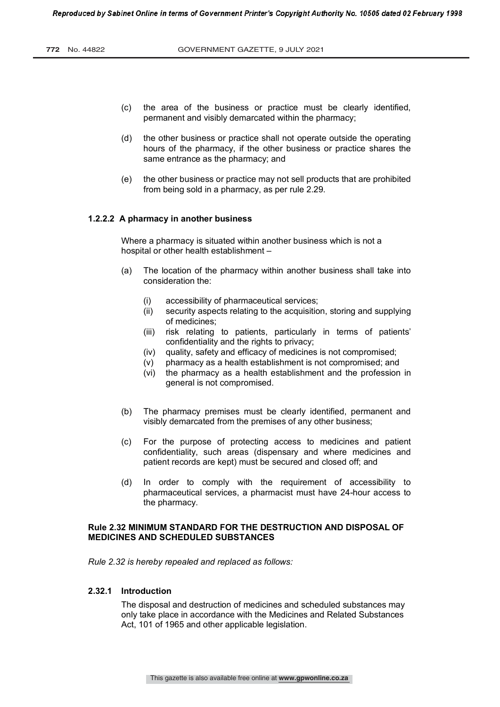- (c) the area of the business or practice must be clearly identified, permanent and visibly demarcated within the pharmacy;
- (d) the other business or practice shall not operate outside the operating hours of the pharmacy, if the other business or practice shares the same entrance as the pharmacy; and
- (e) the other business or practice may not sell products that are prohibited from being sold in a pharmacy, as per rule 2.29.

#### **1.2.2.2 A pharmacy in another business**

Where a pharmacy is situated within another business which is not a hospital or other health establishment –

- (a) The location of the pharmacy within another business shall take into consideration the:
	- (i) accessibility of pharmaceutical services;<br>(ii) security aspects relating to the acquisitio
	- security aspects relating to the acquisition, storing and supplying of medicines;
	- (iii) risk relating to patients, particularly in terms of patients' confidentiality and the rights to privacy;
	- (iv) quality, safety and efficacy of medicines is not compromised;
	- (v) pharmacy as a health establishment is not compromised; and
	- (vi) the pharmacy as a health establishment and the profession in general is not compromised.
- (b) The pharmacy premises must be clearly identified, permanent and visibly demarcated from the premises of any other business;
- (c) For the purpose of protecting access to medicines and patient confidentiality, such areas (dispensary and where medicines and patient records are kept) must be secured and closed off; and
- (d) In order to comply with the requirement of accessibility to pharmaceutical services, a pharmacist must have 24-hour access to the pharmacy.

# **Rule 2.32 MINIMUM STANDARD FOR THE DESTRUCTION AND DISPOSAL OF MEDICINES AND SCHEDULED SUBSTANCES**

*Rule 2.32 is hereby repealed and replaced as follows:*

## **2.32.1 Introduction**

The disposal and destruction of medicines and scheduled substances may only take place in accordance with the Medicines and Related Substances Act, 101 of 1965 and other applicable legislation.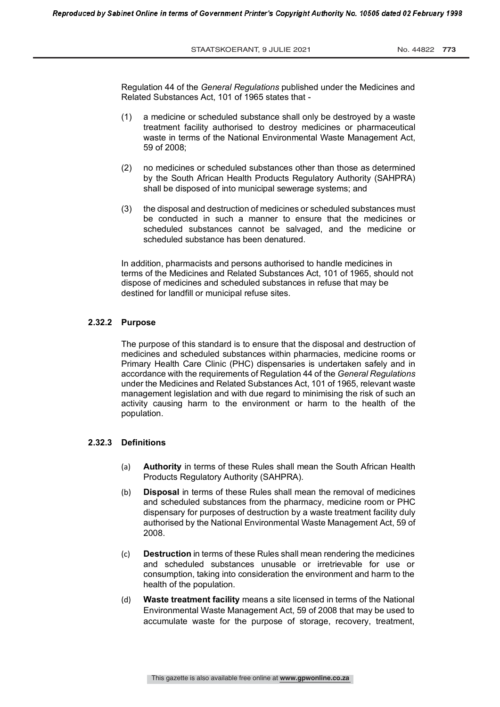STAATSKOERANT, 9 JULIE 2021 No. 44822 773

Ξ

Regulation 44 of the *General Regulations* published under the Medicines and Related Substances Act, 101 of 1965 states that -

- (1) a medicine or scheduled substance shall only be destroyed by a waste treatment facility authorised to destroy medicines or pharmaceutical waste in terms of the National Environmental Waste Management Act, 59 of 2008;
- (2) no medicines or scheduled substances other than those as determined by the South African Health Products Regulatory Authority (SAHPRA) shall be disposed of into municipal sewerage systems; and
- (3) the disposal and destruction of medicines or scheduled substances must be conducted in such a manner to ensure that the medicines or scheduled substances cannot be salvaged, and the medicine or scheduled substance has been denatured.

In addition, pharmacists and persons authorised to handle medicines in terms of the Medicines and Related Substances Act, 101 of 1965, should not dispose of medicines and scheduled substances in refuse that may be destined for landfill or municipal refuse sites.

#### **2.32.2 Purpose**

The purpose of this standard is to ensure that the disposal and destruction of medicines and scheduled substances within pharmacies, medicine rooms or Primary Health Care Clinic (PHC) dispensaries is undertaken safely and in accordance with the requirements of Regulation 44 of the *General Regulations*  under the Medicines and Related Substances Act, 101 of 1965, relevant waste management legislation and with due regard to minimising the risk of such an activity causing harm to the environment or harm to the health of the population.

#### **2.32.3 Definitions**

- (a) **Authority** in terms of these Rules shall mean the South African Health Products Regulatory Authority (SAHPRA).
- (b) **Disposal** in terms of these Rules shall mean the removal of medicines and scheduled substances from the pharmacy, medicine room or PHC dispensary for purposes of destruction by a waste treatment facility duly authorised by the National Environmental Waste Management Act, 59 of 2008.
- (c) **Destruction** in terms of these Rules shall mean rendering the medicines and scheduled substances unusable or irretrievable for use or consumption, taking into consideration the environment and harm to the health of the population.
- (d) **Waste treatment facility** means a site licensed in terms of the National Environmental Waste Management Act, 59 of 2008 that may be used to accumulate waste for the purpose of storage, recovery, treatment,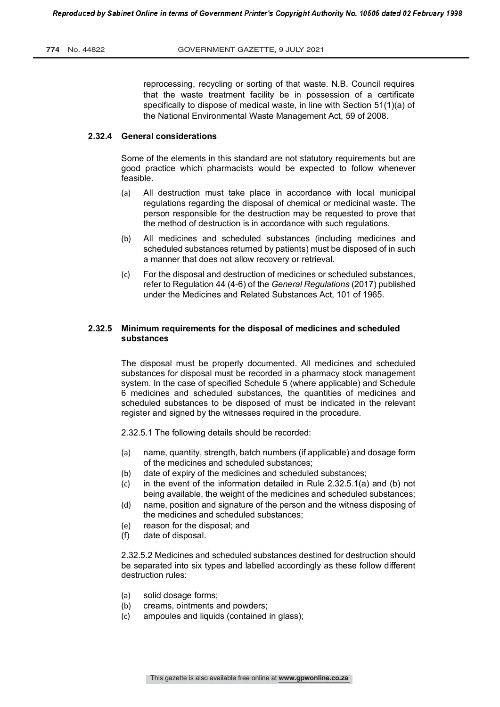reprocessing, recycling or sorting of that waste. N.B. Council requires that the waste treatment facility be in possession of a certificate specifically to dispose of medical waste, in line with Section 51(1)(a) of the National Environmental Waste Management Act, 59 of 2008.

#### **2.32.4 General considerations**

Some of the elements in this standard are not statutory requirements but are good practice which pharmacists would be expected to follow whenever feasible.

- (a) All destruction must take place in accordance with local municipal regulations regarding the disposal of chemical or medicinal waste. The person responsible for the destruction may be requested to prove that the method of destruction is in accordance with such regulations.
- (b) All medicines and scheduled substances (including medicines and scheduled substances returned by patients) must be disposed of in such a manner that does not allow recovery or retrieval.
- (c) For the disposal and destruction of medicines or scheduled substances, refer to Regulation 44 (4-6) of the *General Regulations* (2017) published under the Medicines and Related Substances Act, 101 of 1965.

## **2.32.5 Minimum requirements for the disposal of medicines and scheduled substances**

The disposal must be properly documented. All medicines and scheduled substances for disposal must be recorded in a pharmacy stock management system. In the case of specified Schedule 5 (where applicable) and Schedule 6 medicines and scheduled substances, the quantities of medicines and scheduled substances to be disposed of must be indicated in the relevant register and signed by the witnesses required in the procedure.

2.32.5.1 The following details should be recorded:

- (a) name, quantity, strength, batch numbers (if applicable) and dosage form of the medicines and scheduled substances;
- (b) date of expiry of the medicines and scheduled substances;
- (c) in the event of the information detailed in Rule  $2.32.5.1(a)$  and (b) not being available, the weight of the medicines and scheduled substances;
- (d) name, position and signature of the person and the witness disposing of the medicines and scheduled substances;
- (e) reason for the disposal; and
- (f) date of disposal.

2.32.5.2 Medicines and scheduled substances destined for destruction should be separated into six types and labelled accordingly as these follow different destruction rules:

- (a) solid dosage forms;
- (b) creams, ointments and powders;
- (c) ampoules and liquids (contained in glass);